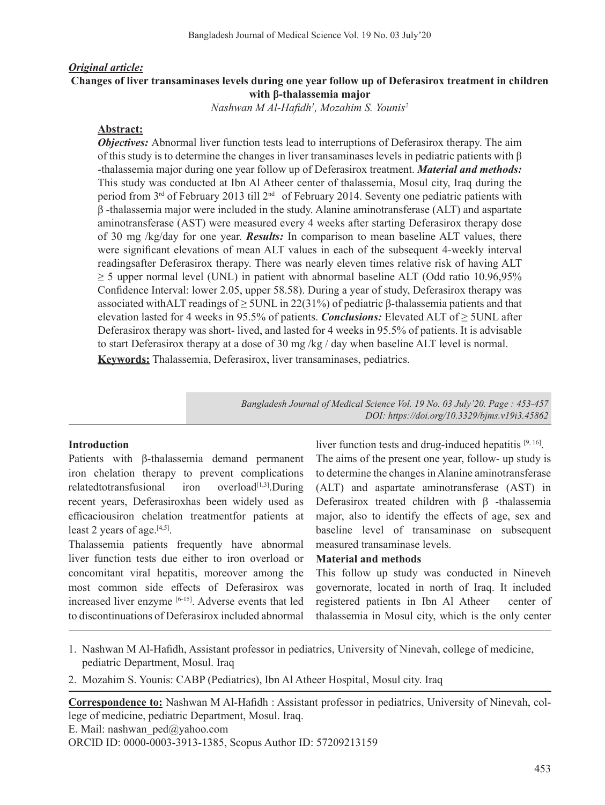#### *Original article:*

## **Changes of liver transaminases levels during one year follow up of Deferasirox treatment in children with β-thalassemia major**

*Nashwan M Al-Hafidh<sup>1</sup> , Mozahim S. Younis2*

### **Abstract:**

*Objectives:* Abnormal liver function tests lead to interruptions of Deferasirox therapy. The aim of this study is to determine the changes in liver transaminases levels in pediatric patients with  $\beta$ -thalassemia major during one year follow up of Deferasirox treatment. *Material and methods:* This study was conducted at Ibn Al Atheer center of thalassemia, Mosul city, Iraq during the period from 3rd of February 2013 till 2nd of February 2014. Seventy one pediatric patients with β -thalassemia major were included in the study. Alanine aminotransferase (ALT) and aspartate aminotransferase (AST) were measured every 4 weeks after starting Deferasirox therapy dose of 30 mg /kg/day for one year. *Results:* In comparison to mean baseline ALT values, there were significant elevations of mean ALT values in each of the subsequent 4-weekly interval readingsafter Deferasirox therapy. There was nearly eleven times relative risk of having ALT  $\geq$  5 upper normal level (UNL) in patient with abnormal baseline ALT (Odd ratio 10.96,95% Confidence Interval: lower 2.05, upper 58.58). During a year of study, Deferasirox therapy was associated withALT readings of  $\geq$  5UNL in 22(31%) of pediatric β-thalassemia patients and that elevation lasted for 4 weeks in 95.5% of patients. *Conclusions:* Elevated ALT of ≥ 5UNL after Deferasirox therapy was short- lived, and lasted for 4 weeks in 95.5% of patients. It is advisable to start Deferasirox therapy at a dose of 30 mg /kg / day when baseline ALT level is normal. **Keywords:** Thalassemia, Deferasirox, liver transaminases, pediatrics.

> *Bangladesh Journal of Medical Science Vol. 19 No. 03 July'20. Page : 453-457 DOI: https://doi.org/10.3329/bjms.v19i3.45862*

#### **Introduction**

Patients with β-thalassemia demand permanent iron chelation therapy to prevent complications  $relatedtotransfusional$  iron overload<sup>[1,3]</sup>.During recent years, Deferasiroxhas been widely used as efficaciousiron chelation treatmentfor patients at least 2 years of age.<sup>[4,5]</sup>.

Thalassemia patients frequently have abnormal liver function tests due either to iron overload or concomitant viral hepatitis, moreover among the most common side effects of Deferasirox was increased liver enzyme [6-15]. Adverse events that led to discontinuations of Deferasirox included abnormal

liver function tests and drug-induced hepatitis [9, 16]. The aims of the present one year, follow- up study is to determine the changes in Alanine aminotransferase (ALT) and aspartate aminotransferase (AST) in Deferasirox treated children with β -thalassemia major, also to identify the effects of age, sex and baseline level of transaminase on subsequent measured transaminase levels.

#### **Material and methods**

This follow up study was conducted in Nineveh governorate, located in north of Iraq. It included registered patients in Ibn Al Atheer center of thalassemia in Mosul city, which is the only center

- 1. Nashwan M Al-Hafidh, Assistant professor in pediatrics, University of Ninevah, college of medicine, pediatric Department, Mosul. Iraq
- 2. Mozahim S. Younis: CABP (Pediatrics), Ibn Al Atheer Hospital, Mosul city. Iraq

**Correspondence to:** Nashwan M Al-Hafidh : Assistant professor in pediatrics, University of Ninevah, college of medicine, pediatric Department, Mosul. Iraq. E. Mail: nashwan\_ped@yahoo.com ORCID ID: 0000-0003-3913-1385, Scopus Author ID: 57209213159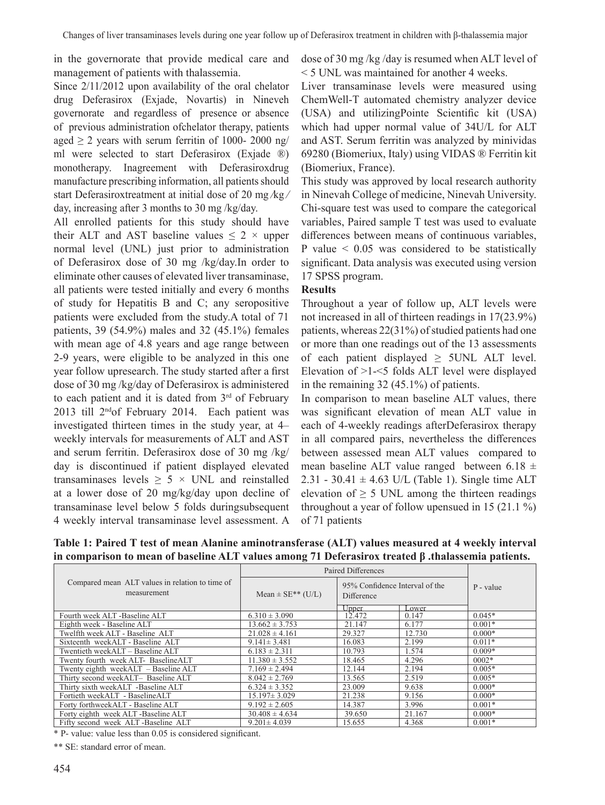in the governorate that provide medical care and management of patients with thalassemia.

Since 2/11/2012 upon availability of the oral chelator drug Deferasirox (Exjade, Novartis) in Nineveh governorate and regardless of presence or absence of previous administration ofchelator therapy, patients aged  $\geq$  2 years with serum ferritin of 1000- 2000 ng/ ml were selected to start Deferasirox (Exjade ®) monotherapy. Inagreement with Deferasiroxdrug manufacture prescribing information, all patients should start Deferasiroxtreatment at initial dose of 20 mg ⁄kg ⁄ day, increasing after 3 months to 30 mg /kg/day.

All enrolled patients for this study should have their ALT and AST baseline values  $\leq 2 \times$  upper normal level (UNL) just prior to administration of Deferasirox dose of 30 mg /kg/day.In order to eliminate other causes of elevated liver transaminase, all patients were tested initially and every 6 months of study for Hepatitis B and C; any seropositive patients were excluded from the study.A total of 71 patients, 39 (54.9%) males and 32 (45.1%) females with mean age of 4.8 years and age range between 2-9 years, were eligible to be analyzed in this one year follow upresearch. The study started after a first dose of 30 mg /kg/day of Deferasirox is administered to each patient and it is dated from 3<sup>rd</sup> of February 2013 till 2<sup>nd</sup>of February 2014. Each patient was investigated thirteen times in the study year, at 4– weekly intervals for measurements of ALT and AST and serum ferritin. Deferasirox dose of 30 mg /kg/ day is discontinued if patient displayed elevated transaminases levels  $\geq$  5  $\times$  UNL and reinstalled at a lower dose of 20 mg/kg/day upon decline of transaminase level below 5 folds duringsubsequent 4 weekly interval transaminase level assessment. A dose of 30 mg /kg /day is resumed when ALT level of < 5 UNL was maintained for another 4 weeks.

Liver transaminase levels were measured using ChemWell-T automated chemistry analyzer device (USA) and utilizingPointe Scientific kit (USA) which had upper normal value of 34U/L for ALT and AST. Serum ferritin was analyzed by minividas 69280 (Biomeriux, Italy) using VIDAS ® Ferritin kit (Biomeriux, France).

This study was approved by local research authority in Ninevah College of medicine, Ninevah University. Chi-square test was used to compare the categorical variables, Paired sample T test was used to evaluate differences between means of continuous variables, P value  $\leq 0.05$  was considered to be statistically significant. Data analysis was executed using version 17 SPSS program.

#### **Results**

Throughout a year of follow up, ALT levels were not increased in all of thirteen readings in 17(23.9%) patients, whereas  $22(31%)$  of studied patients had one or more than one readings out of the 13 assessments of each patient displayed  $\geq$  5UNL ALT level. Elevation of >1-<5 folds ALT level were displayed in the remaining 32 (45.1%) of patients.

In comparison to mean baseline ALT values, there was significant elevation of mean ALT value in each of 4-weekly readings afterDeferasirox therapy in all compared pairs, nevertheless the differences between assessed mean ALT values compared to mean baseline ALT value ranged between 6.18  $\pm$ 2.31 - 30.41  $\pm$  4.63 U/L (Table 1). Single time ALT elevation of  $\geq$  5 UNL among the thirteen readings throughout a year of follow upensued in 15 (21.1 %) of 71 patients

|                                                                | Paired Differences                |                                                       |        |           |
|----------------------------------------------------------------|-----------------------------------|-------------------------------------------------------|--------|-----------|
| Compared mean ALT values in relation to time of<br>measurement | Mean $\pm$ SE <sup>**</sup> (U/L) | 95% Confidence Interval of the<br>Difference<br>Lower |        | P - value |
| Fourth week ALT -Baseline ALT                                  | $6.310 \pm 3.090$                 | $\frac{\text{Upper}}{12.472}$                         | 0.147  | $0.045*$  |
| Eighth week - Baseline ALT                                     | $13.662 \pm 3.753$                | 21.147                                                | 6.177  | $0.001*$  |
| Twelfth week ALT - Baseline ALT                                | $21.028 \pm 4.161$                | 29.327                                                | 12.730 | $0.000*$  |
| Sixteenth weekALT - Baseline ALT                               | $9.141 \pm 3.481$                 | 16.083                                                | 2.199  | $0.011*$  |
| Twentieth weekALT - Baseline ALT                               | $6.183 \pm 2.311$                 | 10.793                                                | 1.574  | $0.009*$  |
| Twenty fourth week ALT- BaselineALT                            | $11.380 \pm 3.552$                | 18.465                                                | 4.296  | $0002*$   |
| Twenty eighth weekALT - Baseline ALT                           | $7.169 \pm 2.494$                 | 12.144                                                | 2.194  | $0.005*$  |
| Thirty second weekALT- Baseline ALT                            | $8.042 \pm 2.769$                 | 13.565                                                | 2.519  | $0.005*$  |
| Thirty sixth weekALT -Baseline ALT                             | $6.324 \pm 3.352$                 | 23.009                                                | 9.638  | $0.000*$  |
| Fortieth weekALT - BaselineALT                                 | $15.197 \pm 3.029$                | 21.238                                                | 9.156  | $0.000*$  |
| Forty forthweekALT - Baseline ALT                              | $9.192 \pm 2.605$                 | 14.387                                                | 3.996  | $0.001*$  |
| Forty eighth week ALT -Baseline ALT                            | $30.408 \pm 4.634$                | 39.650                                                | 21.167 | $0.000*$  |
| Fifty second week ALT-Baseline ALT                             | $9.201 \pm 4.039$                 | 15.655                                                | 4.368  | $0.001*$  |

**Table 1: Paired T test of mean Alanine aminotransferase (ALT) values measured at 4 weekly interval in comparison to mean of baseline ALT values among 71 Deferasirox treated β .thalassemia patients.**

\* P- value: value less than 0.05 is considered significant.

\*\* SE: standard error of mean.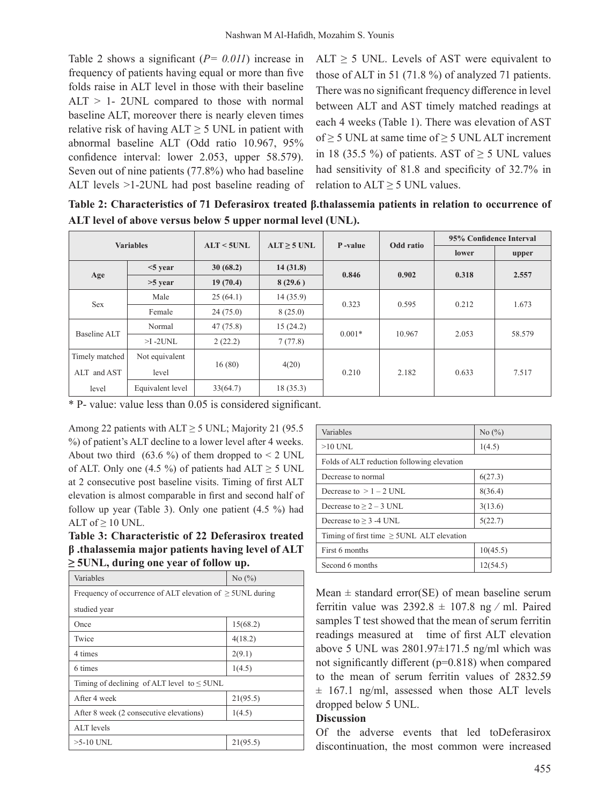Table 2 shows a significant (*P= 0.011*) increase in frequency of patients having equal or more than five folds raise in ALT level in those with their baseline ALT > 1- 2UNL compared to those with normal baseline ALT, moreover there is nearly eleven times relative risk of having  $ALT \ge 5$  UNL in patient with abnormal baseline ALT (Odd ratio 10.967, 95% confidence interval: lower 2.053, upper 58.579). Seven out of nine patients (77.8%) who had baseline ALT levels >1-2UNL had post baseline reading of

ALT  $\geq$  5 UNL. Levels of AST were equivalent to those of ALT in 51 (71.8 %) of analyzed 71 patients. There was no significant frequency difference in level between ALT and AST timely matched readings at each 4 weeks (Table 1). There was elevation of AST of  $\geq$  5 UNL at same time of  $\geq$  5 UNL ALT increment in 18 (35.5 %) of patients. AST of  $\geq$  5 UNL values had sensitivity of 81.8 and specificity of 32.7% in relation to  $ALT \geq 5$  UNL values.

**Table 2: Characteristics of 71 Deferasirox treated β.thalassemia patients in relation to occurrence of ALT level of above versus below 5 upper normal level (UNL).**

| <b>Variables</b> |                  | $ALT < 5$ UNL | $ALT > 5$ UNL | P-value  | Odd ratio | 95% Confidence Interval |        |
|------------------|------------------|---------------|---------------|----------|-----------|-------------------------|--------|
|                  |                  |               |               |          |           | lower                   | upper  |
| Age              | $<$ 5 year       | 30(68.2)      | 14(31.8)      | 0.846    | 0.902     | 0.318                   | 2.557  |
|                  | $>5$ year        | 19(70.4)      | 8(29.6)       |          |           |                         |        |
| <b>Sex</b>       | Male             | 25(64.1)      | 14(35.9)      | 0.323    | 0.595     | 0.212                   | 1.673  |
|                  | Female           | 24(75.0)      | 8(25.0)       |          |           |                         |        |
| Baseline ALT     | Normal           | 47(75.8)      | 15(24.2)      | $0.001*$ | 10.967    | 2.053                   | 58.579 |
|                  | $>1$ -2UNL       | 2(22.2)       | 7(77.8)       |          |           |                         |        |
| Timely matched   | Not equivalent   |               |               | 0.210    | 2.182     | 0.633                   | 7.517  |
| ALT and AST      | level            | 16(80)        | 4(20)         |          |           |                         |        |
| level            | Equivalent level | 33(64.7)      | 18(35.3)      |          |           |                         |        |

\* P- value: value less than 0.05 is considered significant.

Among 22 patients with  $ALT \ge 5$  UNL; Majority 21 (95.5) %) of patient's ALT decline to a lower level after 4 weeks. About two third  $(63.6 %)$  of them dropped to  $\leq 2$  UNL of ALT. Only one (4.5 %) of patients had  $ALT \ge 5$  UNL at 2 consecutive post baseline visits. Timing of first ALT elevation is almost comparable in first and second half of follow up year (Table 3). Only one patient (4.5 %) had ALT of  $\geq 10$  UNL.

**Table 3: Characteristic of 22 Deferasirox treated β .thalassemia major patients having level of ALT ≥ 5UNL, during one year of follow up.**

| Variables                                                      | No $(\%)$ |  |  |  |
|----------------------------------------------------------------|-----------|--|--|--|
| Frequency of occurrence of ALT elevation of $\geq$ 5UNL during |           |  |  |  |
| studied year                                                   |           |  |  |  |
| Once                                                           | 15(68.2)  |  |  |  |
| Twice                                                          | 4(18.2)   |  |  |  |
| 4 times                                                        | 2(9.1)    |  |  |  |
| 6 times                                                        | 1(4.5)    |  |  |  |
| Timing of declining of ALT level to $\leq$ 5UNL                |           |  |  |  |
| After 4 week                                                   | 21(95.5)  |  |  |  |
| After 8 week (2 consecutive elevations)                        | 1(4.5)    |  |  |  |
| ALT levels                                                     |           |  |  |  |
| $>5-10$ UNL                                                    | 21(95.5)  |  |  |  |

| Variables                                      | No $(\%)$ |  |  |  |
|------------------------------------------------|-----------|--|--|--|
| $>10$ UNL                                      | 1(4.5)    |  |  |  |
| Folds of ALT reduction following elevation     |           |  |  |  |
| Decrease to normal                             | 6(27.3)   |  |  |  |
| Decrease to $> 1 - 2$ UNL                      | 8(36.4)   |  |  |  |
| Decrease to $\geq$ 2 – 3 UNL                   | 3(13.6)   |  |  |  |
| Decrease to $\geq$ 3 -4 UNL                    | 5(22.7)   |  |  |  |
| Timing of first time $\geq$ 5UNL ALT elevation |           |  |  |  |
| First 6 months                                 | 10(45.5)  |  |  |  |
| Second 6 months                                | 12(54.5)  |  |  |  |

Mean  $\pm$  standard error(SE) of mean baseline serum ferritin value was  $2392.8 \pm 107.8$  ng / ml. Paired samples T test showed that the mean of serum ferritin readings measured at time of first ALT elevation above 5 UNL was 2801.97±171.5 ng/ml which was not significantly different (p=0.818) when compared to the mean of serum ferritin values of 2832.59  $\pm$  167.1 ng/ml, assessed when those ALT levels dropped below 5 UNL.

### **Discussion**

Of the adverse events that led toDeferasirox discontinuation, the most common were increased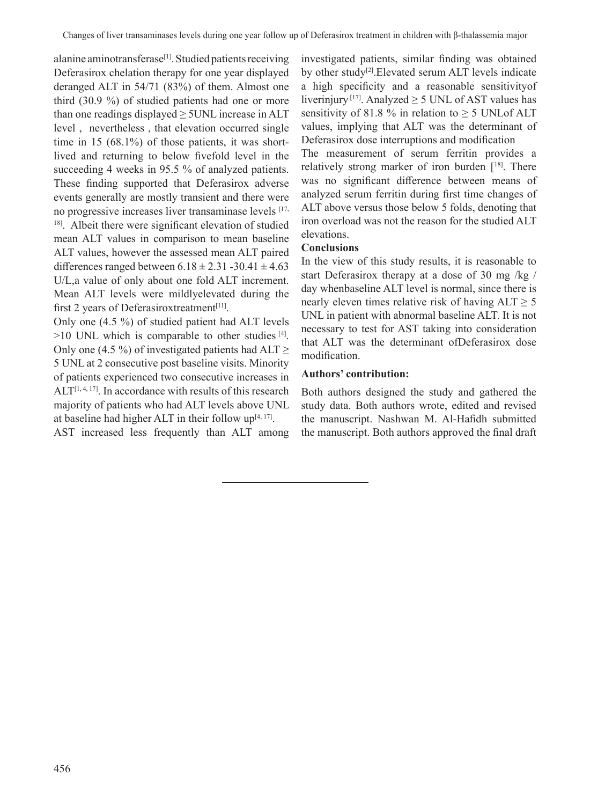alanine aminotransferase<sup>[1]</sup>. Studied patients receiving Deferasirox chelation therapy for one year displayed deranged ALT in 54/71 (83%) of them. Almost one third (30.9 %) of studied patients had one or more than one readings displayed  $\geq$  5UNL increase in ALT level , nevertheless , that elevation occurred single time in 15 (68.1%) of those patients, it was shortlived and returning to below fivefold level in the succeeding 4 weeks in 95.5 % of analyzed patients. These finding supported that Deferasirox adverse events generally are mostly transient and there were no progressive increases liver transaminase levels [17, <sup>18]</sup>. Albeit there were significant elevation of studied mean ALT values in comparison to mean baseline ALT values, however the assessed mean ALT paired differences ranged between  $6.18 \pm 2.31 - 30.41 \pm 4.63$ U/L,a value of only about one fold ALT increment. Mean ALT levels were mildlyelevated during the first 2 years of Deferasiroxtreatment $[11]$ .

Only one (4.5 %) of studied patient had ALT levels  $>10$  UNL which is comparable to other studies [4]. Only one (4.5 %) of investigated patients had ALT  $\geq$ 5 UNL at 2 consecutive post baseline visits. Minority of patients experienced two consecutive increases in  $ALT^{[1, 4, 17]}$ . In accordance with results of this research majority of patients who had ALT levels above UNL at baseline had higher ALT in their follow  $up^{[4, 17]}$ . AST increased less frequently than ALT among investigated patients, similar finding was obtained by other study<sup>[2]</sup>.Elevated serum ALT levels indicate a high specificity and a reasonable sensitivityof liverinjury [17]. Analyzed  $\geq$  5 UNL of AST values has sensitivity of 81.8 % in relation to  $\geq$  5 UNLof ALT values, implying that ALT was the determinant of Deferasirox dose interruptions and modification

The measurement of serum ferritin provides a relatively strong marker of iron burden  $[18]$ . There was no significant difference between means of analyzed serum ferritin during first time changes of ALT above versus those below 5 folds, denoting that iron overload was not the reason for the studied ALT elevations.

### **Conclusions**

In the view of this study results, it is reasonable to start Deferasirox therapy at a dose of 30 mg /kg / day whenbaseline ALT level is normal, since there is nearly eleven times relative risk of having  $ALT \geq 5$ UNL in patient with abnormal baseline ALT. It is not necessary to test for AST taking into consideration that ALT was the determinant ofDeferasirox dose modification.

# **Authors' contribution:**

Both authors designed the study and gathered the study data. Both authors wrote, edited and revised the manuscript. Nashwan M. Al-Hafidh submitted the manuscript. Both authors approved the final draft